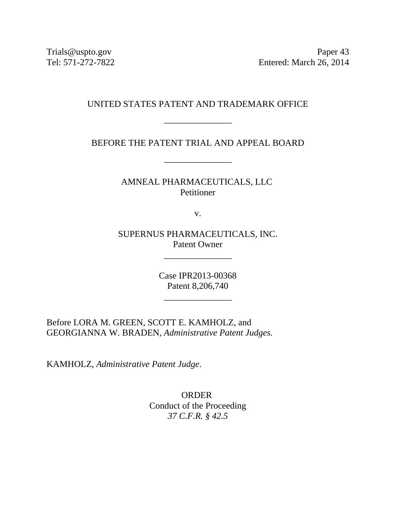Trials@uspto.gov Paper 43 Tel: 571-272-7822 Entered: March 26, 2014

## UNITED STATES PATENT AND TRADEMARK OFFICE

\_\_\_\_\_\_\_\_\_\_\_\_\_\_\_

BEFORE THE PATENT TRIAL AND APPEAL BOARD

\_\_\_\_\_\_\_\_\_\_\_\_\_\_\_

AMNEAL PHARMACEUTICALS, LLC Petitioner

v.

SUPERNUS PHARMACEUTICALS, INC. Patent Owner

\_\_\_\_\_\_\_\_\_\_\_\_\_\_\_

Case IPR2013-00368 Patent 8,206,740

\_\_\_\_\_\_\_\_\_\_\_\_\_\_\_

Before LORA M. GREEN, SCOTT E. KAMHOLZ, and GEORGIANNA W. BRADEN, *Administrative Patent Judges.* 

KAMHOLZ, *Administrative Patent Judge*.

ORDER Conduct of the Proceeding *37 C.F.R. § 42.5*